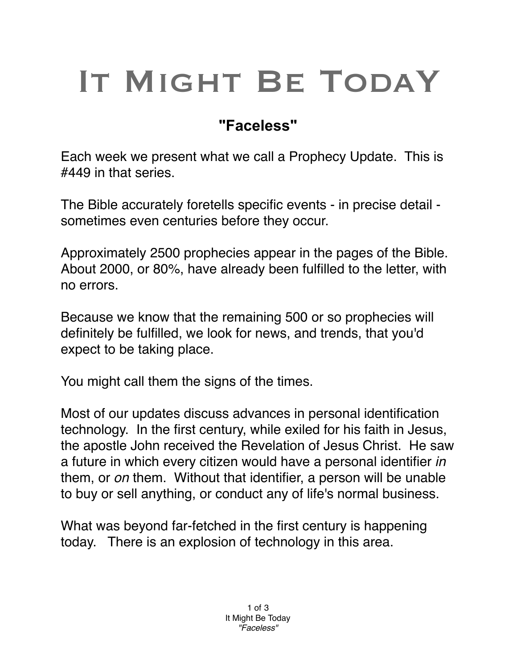## IT MIGHT BE TODAY

## **"Faceless"**

Each week we present what we call a Prophecy Update. This is #449 in that series.

The Bible accurately foretells specific events - in precise detail sometimes even centuries before they occur.

Approximately 2500 prophecies appear in the pages of the Bible. About 2000, or 80%, have already been fulfilled to the letter, with no errors.

Because we know that the remaining 500 or so prophecies will definitely be fulfilled, we look for news, and trends, that you'd expect to be taking place.

You might call them the signs of the times.

Most of our updates discuss advances in personal identification technology. In the first century, while exiled for his faith in Jesus, the apostle John received the Revelation of Jesus Christ. He saw a future in which every citizen would have a personal identifier *in* them, or *on* them. Without that identifier, a person will be unable to buy or sell anything, or conduct any of life's normal business.

What was beyond far-fetched in the first century is happening today. There is an explosion of technology in this area.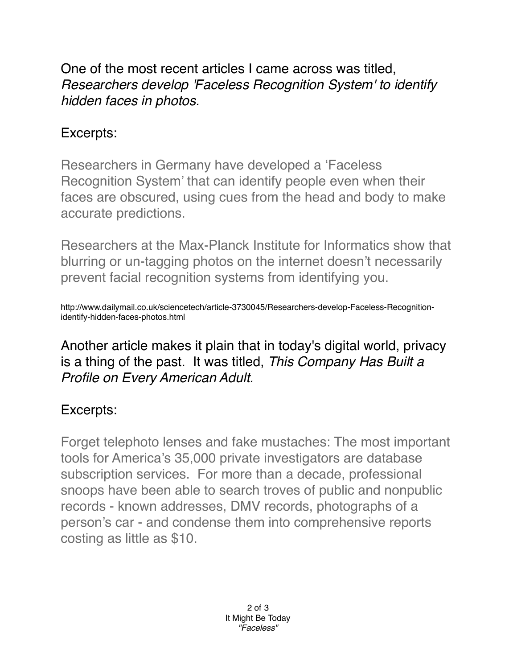One of the most recent articles I came across was titled, *Researchers develop 'Faceless Recognition System' to identify hidden faces in photos.*

## Excerpts:

Researchers in Germany have developed a 'Faceless Recognition System' that can identify people even when their faces are obscured, using cues from the head and body to make accurate predictions.

Researchers at the Max-Planck Institute for Informatics show that blurring or un-tagging photos on the internet doesn't necessarily prevent facial recognition systems from identifying you.

http://www.dailymail.co.uk/sciencetech/article-3730045/Researchers-develop-Faceless-Recognitionidentify-hidden-faces-photos.html

Another article makes it plain that in today's digital world, privacy is a thing of the past. It was titled, *This Company Has Built a Profile on Every American Adult.*

## Excerpts:

Forget telephoto lenses and fake mustaches: The most important tools for America's 35,000 private investigators are database subscription services. For more than a decade, professional snoops have been able to search troves of public and nonpublic records - known addresses, DMV records, photographs of a person's car - and condense them into comprehensive reports costing as little as \$10.